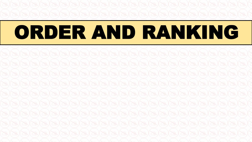# ORDER AND RANKING

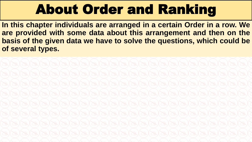# About Order and Ranking

**In this chapter individuals are arranged in a certain Order in a row. We are provided with some data about this arrangement and then on the basis of the given data we have to solve the questions, which could be of several types.**

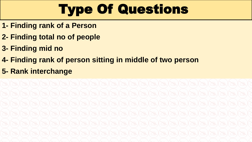# Type Of Questions

- **1- Finding rank of a Person**
- **2- Finding total no of people**
- **3- Finding mid no**
- **4- Finding rank of person sitting in middle of two person**
- **5- Rank interchange**

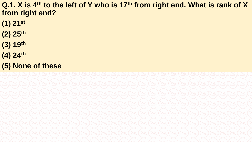**Q.1. X is 4th to the left of Y who is 17th from right end. What is rank of X from right end?**

- **(1) 21st**
- **(2) 25th**
- **(3) 19th**
- **(4) 24th**
- **(5) None of these**

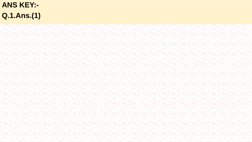# **ANS KEY:-**Q.1.Ans.(1)

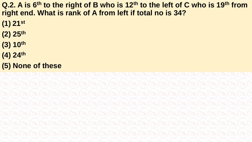**Q.2. A is 6th to the right of B who is 12th to the left of C who is 19th from right end. What is rank of A from left if total no is 34?**

- **(1) 21st**
- **(2) 25th**
- **(3) 10th**
- **(4) 24th**
- **(5) None of these**

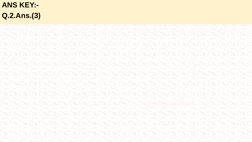# **ANS KEY:-**Q.2.Ans.(3)

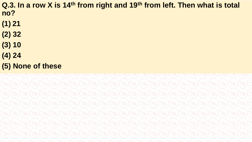**Q.3. In a row X is 14th from right and 19th from left. Then what is total no?**

- **(1) 21**
- **(2) 32**
- **(3) 10**
- **(4) 24**
- **(5) None of these**

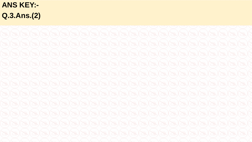# **ANS KEY:-**Q.3.Ans.(2)

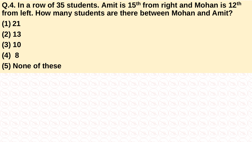**Q.4. In a row of 35 students. Amit is 15th from right and Mohan is 12th from left. How many students are there between Mohan and Amit?**

- **(1) 21**
- **(2) 13**
- **(3) 10**
- **(4) 8**
- **(5) None of these**

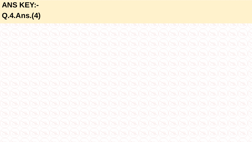#### **ANS KEY:-**Q.4.Ans.(4)

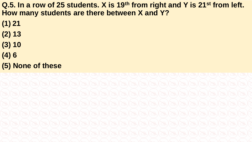**Q.5. In a row of 25 students. X is 19th from right and Y is 21st from left. How many students are there between X and Y?**

- **(1) 21**
- **(2) 13**
- **(3) 10**
- **(4) 6**
- **(5) None of these**

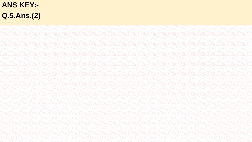# **ANS KEY:-**Q.5.Ans.(2)

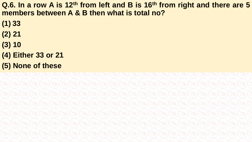**Q.6. In a row A is 12th from left and B is 16th from right and there are 5 members between A & B then what is total no?**

- **(1) 33**
- **(2) 21**
- **(3) 10**
- **(4) Either 33 or 21**
- **(5) None of these**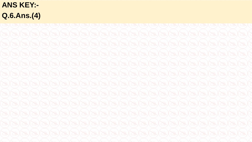#### **ANS KEY:-**Q.6.Ans.(4)

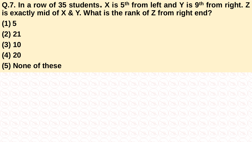Q.7. In a row of 35 students. X is 5<sup>th</sup> from left and Y is 9<sup>th</sup> from right. Z **is exactly mid of X & Y. What is the rank of Z from right end?**

- **(1) 5**
- **(2) 21**
- **(3) 10**
- **(4) 20**
- **(5) None of these**

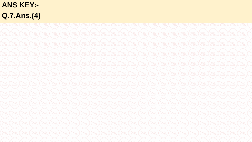# **ANS KEY:-**Q.7.Ans.(4)

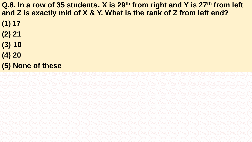**Q.8. In a row of 35 students. X is 29th from right and Y is 27th from left and Z is exactly mid of X & Y. What is the rank of Z from left end?**

- **(1) 17**
- **(2) 21**
- **(3) 10**
- **(4) 20**
- **(5) None of these**

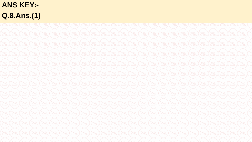# **ANS KEY:-**Q.8.Ans.(1)

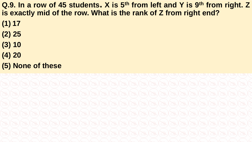Q.9. In a row of 45 students. X is 5<sup>th</sup> from left and Y is 9<sup>th</sup> from right. Z **is exactly mid of the row. What is the rank of Z from right end?**

- **(1) 17**
- **(2) 25**
- **(3) 10**
- **(4) 20**
- **(5) None of these**

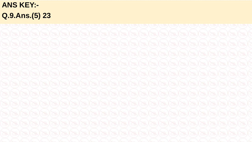**ANS KEY:-**Q.9.Ans.(5) 23

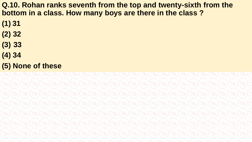**Q.10. Rohan ranks seventh from the top and twenty-sixth from the bottom in a class. How many boys are there in the class ?** 

- **(1) 31**
- **(2) 32**
- **(3) 33**
- **(4) 34**
- **(5) None of these**

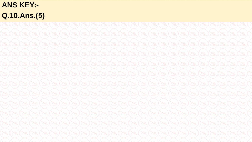# **ANS KEY:-**Q.10.Ans.(5)

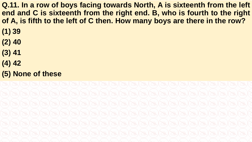**Q.11. In a row of boys facing towards North, A is sixteenth from the left end and C is sixteenth from the right end. B, who is fourth to the right of A, is fifth to the left of C then. How many boys are there in the row?**

- **(1) 39**
- **(2) 40**
- **(3) 41**
- **(4) 42**
- **(5) None of these**

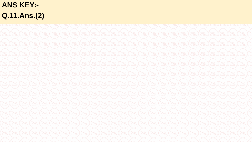**ANS KEY:-**Q.11.Ans.(2)

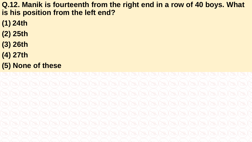**Q.12. Manik is fourteenth from the right end in a row of 40 boys. What is his position from the left end?** 

- **(1) 24th**
- **(2) 25th**
- **(3) 26th**
- **(4) 27th**
- **(5) None of these**

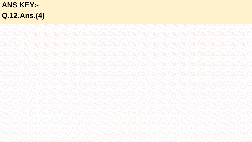# **ANS KEY:-**Q.12.Ans.(4)

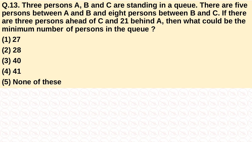**Q.13. Three persons A, B and C are standing in a queue. There are five persons between A and B and eight persons between B and C. If there are three persons ahead of C and 21 behind A, then what could be the minimum number of persons in the queue ?** 

- **(1) 27**
- **(2) 28**
- **(3) 40**
- **(4) 41**
- **(5) None of these**

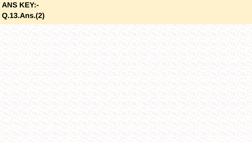# **ANS KEY:-**Q.13.Ans.(2)

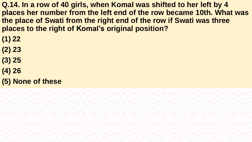**Q.14. In a row of 40 girls, when Komal was shifted to her left by 4 places her number from the left end of the row became 10th. What was the place of Swati from the right end of the row if Swati was three places to the right of Komal's original position?** 

- **(1) 22**
- **(2) 23**
- **(3) 25**
- **(4) 26**
- **(5) None of these**

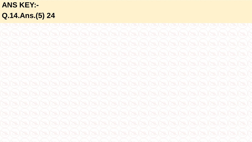**ANS KEY:-**Q.14.Ans.(5) 24

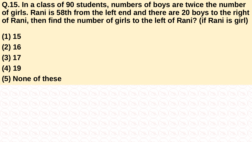**Q.15. In a class of 90 students, numbers of boys are twice the number of girls. Rani is 58th from the left end and there are 20 boys to the right of Rani, then find the number of girls to the left of Rani? (if Rani is girl)**

- **(1) 15**
- **(2) 16**
- **(3) 17**
- **(4) 19**
- **(5) None of these**

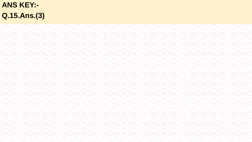# **ANS KEY:-**Q.15.Ans.(3)

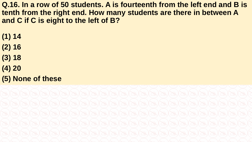**Q.16. In a row of 50 students. A is fourteenth from the left end and B is tenth from the right end. How many students are there in between A and C if C is eight to the left of B?**

- **(1) 14**
- **(2) 16**
- **(3) 18**
- **(4) 20**
- **(5) None of these**

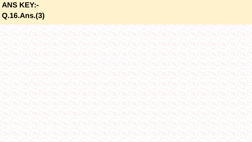**ANS KEY:-**Q.16.Ans.(3)

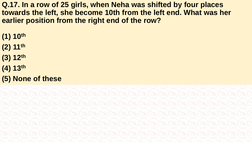**Q.17. In a row of 25 girls, when Neha was shifted by four places towards the left, she become 10th from the left end. What was her earlier position from the right end of the row?** 

- **(1) 10th**
- **(2) 11th**
- **(3) 12th**
- **(4) 13th**
- **(5) None of these**